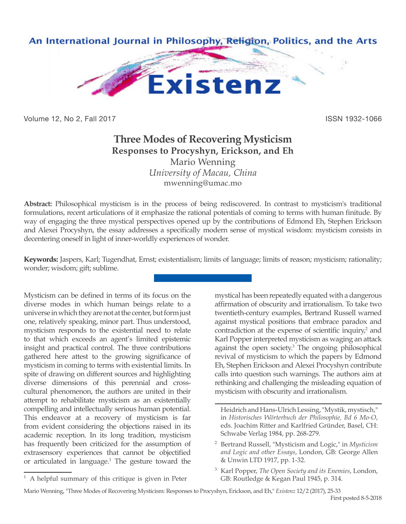

Volume 12, No 2, Fall 2017 **ISSN 1932-1066** 

## **Three Modes of Recovering Mysticism Responses to Procyshyn, Erickson, and Eh** Mario Wenning *University of Macau, China*

mwenning@umac.mo

**Abstract:** Philosophical mysticism is in the process of being rediscovered. In contrast to mysticism's traditional formulations, recent articulations of it emphasize the rational potentials of coming to terms with human finitude. By way of engaging the three mystical perspectives opened up by the contributions of Edmond Eh, Stephen Erickson and Alexei Procyshyn, the essay addresses a specifically modern sense of mystical wisdom: mysticism consists in decentering oneself in light of inner-worldly experiences of wonder.

**Keywords:** Jaspers, Karl; Tugendhat, Ernst; existentialism; limits of language; limits of reason; mysticism; rationality; wonder; wisdom; gift; sublime.

Mysticism can be defined in terms of its focus on the diverse modes in which human beings relate to a universe in which they are not at the center, but form just one, relatively speaking, minor part. Thus understood, mysticism responds to the existential need to relate to that which exceeds an agent's limited epistemic insight and practical control. The three contributions gathered here attest to the growing significance of mysticism in coming to terms with existential limits. In spite of drawing on different sources and highlighting diverse dimensions of this perennial and crosscultural phenomenon, the authors are united in their attempt to rehabilitate mysticism as an existentially compelling and intellectually serious human potential. This endeavor at a recovery of mysticism is far from evident considering the objections raised in its academic reception. In its long tradition, mysticism has frequently been criticized for the assumption of extrasensory experiences that cannot be objectified or articulated in language.<sup>1</sup> The gesture toward the

<sup>1</sup> A helpful summary of this critique is given in Peter

mystical has been repeatedly equated with a dangerous affirmation of obscurity and irrationalism. To take two twentieth-century examples, Bertrand Russell warned against mystical positions that embrace paradox and contradiction at the expense of scientific inquiry,<sup>2</sup> and Karl Popper interpreted mysticism as waging an attack against the open society.<sup>3</sup> The ongoing philosophical revival of mysticism to which the papers by Edmond Eh, Stephen Erickson and Alexei Procyshyn contribute calls into question such warnings. The authors aim at rethinking and challenging the misleading equation of mysticism with obscurity and irrationalism.

Heidrich and Hans-Ulrich Lessing, "Mystik, mystisch," in *Historisches Wörterbuch der Philosophie, Bd 6 Mo-O*, eds. Joachim Ritter and Karlfried Gründer, Basel, CH: Schwabe Verlag 1984, pp. 268-279.

<sup>2</sup> Bertrand Russell, "Mysticism and Logic," in *Mysticism and Logic and other Essays*, London, GB: George Allen & Unwin LTD 1917, pp. 1-32.

<sup>3</sup> Karl Popper, *The Open Society and its Enemies*, London, GB: Routledge & Kegan Paul 1945, p. 314.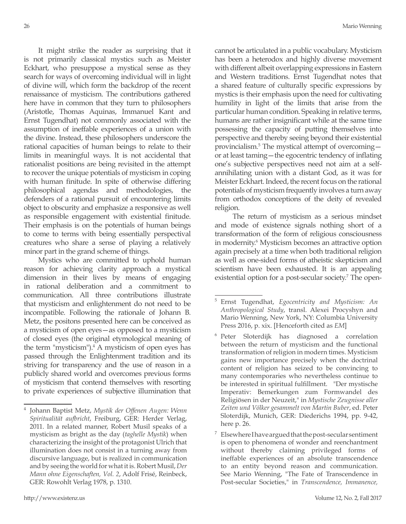It might strike the reader as surprising that it is not primarily classical mystics such as Meister Eckhart, who presuppose a mystical sense as they search for ways of overcoming individual will in light of divine will, which form the backdrop of the recent renaissance of mysticism. The contributions gathered here have in common that they turn to philosophers (Aristotle, Thomas Aquinas, Immanuel Kant and Ernst Tugendhat) not commonly associated with the assumption of ineffable experiences of a union with the divine. Instead, these philosophers underscore the rational capacities of human beings to relate to their limits in meaningful ways. It is not accidental that rationalist positions are being revisited in the attempt to recover the unique potentials of mysticism in coping with human finitude. In spite of otherwise differing philosophical agendas and methodologies, the defenders of a rational pursuit of encountering limits object to obscurity and emphasize a responsive as well as responsible engagement with existential finitude. Their emphasis is on the potentials of human beings to come to terms with being essentially perspectival creatures who share a sense of playing a relatively minor part in the grand scheme of things.

Mystics who are committed to uphold human reason for achieving clarity approach a mystical dimension in their lives by means of engaging in rational deliberation and a commitment to communication. All three contributions illustrate that mysticism and enlightenment do not need to be incompatible. Following the rationale of Johann B. Metz, the positons presented here can be conceived as a mysticism of open eyes—as opposed to a mysticism of closed eyes (the original etymological meaning of the term "mysticism"). $4$  A mysticism of open eyes has passed through the Enlightenment tradition and its striving for transparency and the use of reason in a publicly shared world and overcomes previous forms of mysticism that contend themselves with resorting to private experiences of subjective illumination that

cannot be articulated in a public vocabulary. Mysticism has been a heterodox and highly diverse movement with different albeit overlapping expressions in Eastern and Western traditions. Ernst Tugendhat notes that a shared feature of culturally specific expressions by mystics is their emphasis upon the need for cultivating humility in light of the limits that arise from the particular human condition. Speaking in relative terms, humans are rather insignificant while at the same time possessing the capacity of putting themselves into perspective and thereby seeing beyond their existential provincialism.<sup>5</sup> The mystical attempt of overcoming or at least taming—the egocentric tendency of inflating one's subjective perspectives need not aim at a selfannihilating union with a distant God, as it was for Meister Eckhart. Indeed, the recent focus on the rational potentials of mysticism frequently involves a turn away from orthodox conceptions of the deity of revealed religion.

 The return of mysticism as a serious mindset and mode of existence signals nothing short of a transformation of the form of religious consciousness in modernity.<sup>6</sup> Mysticism becomes an attractive option again precisely at a time when both traditional religion as well as one-sided forms of atheistic skepticism and scientism have been exhausted. It is an appealing existential option for a post-secular society.<sup>7</sup> The open-

<sup>4</sup> Johann Baptist Metz, *Mystik der Offenen Augen: Wenn Spiritualität aufbricht*, Freiburg, GER: Herder Verlag, 2011. In a related manner, Robert Musil speaks of a mysticism as bright as the day (*taghelle Mystik*) when characterizing the insight of the protagonist Ulrich that illumination does not consist in a turning away from discursive language, but is realized in communication and by seeing the world for what it is. Robert Musil, *Der Mann ohne Eigenschaften, Vol. 2*, Adolf Frisé, Reinbeck, GER: Rowohlt Verlag 1978, p. 1310.

<sup>26</sup> Mario Wenning

<sup>5</sup> Ernst Tugendhat, *Egocentricity and Mysticism: An Anthropological Study*, transl. Alexei Procyshyn and Mario Wenning, New York, NY: Columbia University Press 2016, p. xix. [Henceforth cited as *EM*]

<sup>6</sup> Peter Sloterdijk has diagnosed a correlation between the return of mysticism and the functional transformation of religion in modern times. Mysticism gains new importance precisely when the doctrinal content of religion has seized to be convincing to many contemporaries who nevertheless continue to be interested in spiritual fulfillment. "Der mystische Imperativ: Bemerkungen zum Formwandel des Religiösen in der Neuzeit," in *Mystische Zeugnisse aller Zeiten und Völker gesammelt von Martin Buber*, ed. Peter Sloterdijk, Munich, GER: Diederichs 1994, pp. 9-42, here p. 26.

 $7$  Elsewhere I have argued that the post-secular sentiment is open to phenomena of wonder and reenchantment without thereby claiming privileged forms of ineffable experiences of an absolute transcendence to an entity beyond reason and communication. See Mario Wenning, "The Fate of Transcendence in Post-secular Societies," in *Transcendence, Immanence,*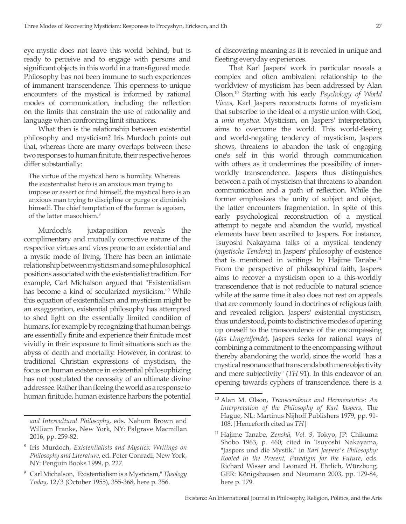eye-mystic does not leave this world behind, but is ready to perceive and to engage with persons and significant objects in this world in a transfigured mode. Philosophy has not been immune to such experiences of immanent transcendence. This openness to unique encounters of the mystical is informed by rational modes of communication, including the reflection on the limits that constrain the use of rationality and language when confronting limit situations.

What then is the relationship between existential philosophy and mysticism? Iris Murdoch points out that, whereas there are many overlaps between these two responses to human finitute, their respective heroes differ substantially:

The virtue of the mystical hero is humility. Whereas the existentialist hero is an anxious man trying to impose or assert or find himself, the mystical hero is an anxious man trying to discipline or purge or diminish himself. The chief temptation of the former is egoism, of the latter masochism.<sup>8</sup>

Murdoch's juxtaposition reveals the complimentary and mutually corrective nature of the respective virtues and vices prone to an existential and a mystic mode of living. There has been an intimate relationship between mysticism and some philosophical positions associated with the existentialist tradition. For example, Carl Michalson argued that "Existentialism has become a kind of secularized mysticism.<sup>119</sup> While this equation of existentialism and mysticism might be an exaggeration, existential philosophy has attempted to shed light on the essentially limited condition of humans, for example by recognizing that human beings are essentially finite and experience their finitude most vividly in their exposure to limit situations such as the abyss of death and mortality. However, in contrast to traditional Christian expressions of mysticism, the focus on human existence in existential philosophizing has not postulated the necessity of an ultimate divine addressee. Rather than fleeing the world as a response to human finitude, human existence harbors the potential

of discovering meaning as it is revealed in unique and fleeting everyday experiences.

That Karl Jaspers' work in particular reveals a complex and often ambivalent relationship to the worldview of mysticism has been addressed by Alan Olson.10 Starting with his early *Psychology of World Views*, Karl Jaspers reconstructs forms of mysticism that subscribe to the ideal of a mystic union with God, a *unio mystica*. Mysticism, on Jaspers' interpretation, aims to overcome the world. This world-fleeing and world-negating tendency of mysticism, Jaspers shows, threatens to abandon the task of engaging one's self in this world through communication with others as it undermines the possibility of innerworldly transcendence. Jaspers thus distinguishes between a path of mysticism that threatens to abandon communication and a path of reflection. While the former emphasizes the unity of subject and object, the latter encounters fragmentation. In spite of this early psychological reconstruction of a mystical attempt to negate and abandon the world, mystical elements have been ascribed to Jaspers. For instance, Tsuyoshi Nakayama talks of a mystical tendency (*mystische Tendenz*) in Jaspers' philosophy of existence that is mentioned in writings by Hajime Tanabe.<sup>11</sup> From the perspective of philosophical faith, Jaspers aims to recover a mysticism open to a this-worldly transcendence that is not reducible to natural science while at the same time it also does not rest on appeals that are commonly found in doctrines of religious faith and revealed religion. Jaspers' existential mysticism, thus understood, points to distinctive modes of opening up oneself to the transcendence of the encompassing (*das Umgreifende*). Jaspers seeks for rational ways of combining a commitment to the encompassing without thereby abandoning the world, since the world "has a mystical resonance that transcends both mere objectivity and mere subjectivity" (*TH* 91). In this endeavor of an opening towards cyphers of transcendence, there is a

*and Intercultural Philosophy*, eds. Nahum Brown and William Franke, New York, NY: Palgrave Macmillan 2016, pp. 259-82.

<sup>8</sup> Iris Murdoch, *Existentialists and Mystics: Writings on Philosophy and Literature*, ed. Peter Conradi, New York, NY: Penguin Books 1999, p. 227.

<sup>9</sup> Carl Michalson, "Existentialism is a Mysticism," *Theology Today*, 12/3 (October 1955), 355-368, here p. 356.

<sup>10</sup> Alan M. Olson, *Transcendence and Hermeneutics: An Interpretation of the Philosophy of Karl Jaspers*, The Hague, NL: Martinus Nijhoff Publishers 1979, pp. 91- 108. [Henceforth cited as *TH*]

<sup>11</sup> Hajime Tanabe, *Zenshū, Vol. 9*, Tokyo, JP: Chikuma Shobo 1963, p. 460; cited in Tsuyoshi Nakayama, "Jaspers und die Mystik," in *Karl Jaspers's Philosophy: Rooted in the Present, Paradigm for the Future*, eds. Richard Wisser and Leonard H. Ehrlich, Würzburg, GER: Königshausen and Neumann 2003, pp. 179-84, here p. 179.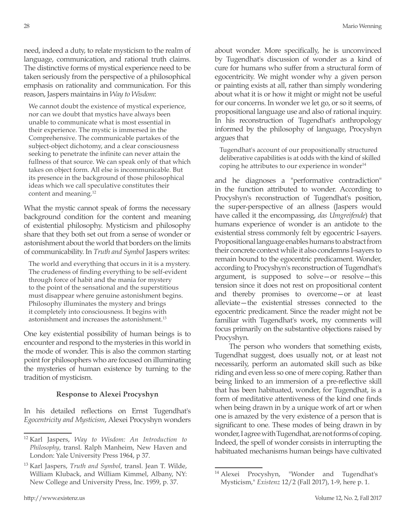need, indeed a duty, to relate mysticism to the realm of language, communication, and rational truth claims. The distinctive forms of mystical experience need to be taken seriously from the perspective of a philosophical emphasis on rationality and communication. For this reason, Jaspers maintains in *Way to Wisdom*:

We cannot doubt the existence of mystical experience, nor can we doubt that mystics have always been unable to communicate what is most essential in their experience. The mystic is immersed in the Comprehensive. The communicable partakes of the subject-object dichotomy, and a clear consciousness seeking to penetrate the infinite can never attain the fullness of that source. We can speak only of that which takes on object form. All else is incommunicable. But its presence in the background of those philosophical ideas which we call speculative constitutes their content and meaning.12

What the mystic cannot speak of forms the necessary background condition for the content and meaning of existential philosophy. Mysticism and philosophy share that they both set out from a sense of wonder or astonishment about the world that borders on the limits of communicability. In *Truth and Symbol* Jaspers writes:

The world and everything that occurs in it is a mystery. The crudeness of finding everything to be self-evident through force of habit and the mania for mystery to the point of the sensational and the superstitious must disappear where genuine astonishment begins. Philosophy illuminates the mystery and brings it completely into consciousness. It begins with astonishment and increases the astonishment.13

One key existential possibility of human beings is to encounter and respond to the mysteries in this world in the mode of wonder. This is also the common starting point for philosophers who are focused on illuminating the mysteries of human existence by turning to the tradition of mysticism.

## **Response to Alexei Procyshyn**

In his detailed reflections on Ernst Tugendhat's *Egocentricity and Mysticism*, Alexei Procyshyn wonders about wonder. More specifically, he is unconvinced by Tugendhat's discussion of wonder as a kind of cure for humans who suffer from a structural form of egocentricity. We might wonder why a given person or painting exists at all, rather than simply wondering about what it is or how it might or might not be useful for our concerns. In wonder we let go, or so it seems, of propositional language use and also of rational inquiry. In his reconstruction of Tugendhat's anthropology informed by the philosophy of language, Procyshyn argues that

Tugendhat's account of our propositionally structured deliberative capabilities is at odds with the kind of skilled coping he attributes to our experience in wonder $14$ 

and he diagnoses a "performative contradiction" in the function attributed to wonder. According to Procyshyn's reconstruction of Tugendhat's position, the super-perspective of an allness (Jaspers would have called it the encompassing, *das Umgreifende*) that humans experience of wonder is an antidote to the existential stress commonly felt by egocentric I-sayers. Propositional language enables humans to abstract from their concrete context while it also condemns I-sayers to remain bound to the egocentric predicament. Wonder, according to Procyshyn's reconstruction of Tugendhat's argument, is supposed to solve—or resolve—this tension since it does not rest on propositional content and thereby promises to overcome—or at least alleviate—the existential stresses connected to the egocentric predicament. Since the reader might not be familiar with Tugendhat's work, my comments will focus primarily on the substantive objections raised by Procyshyn.

The person who wonders that something exists, Tugendhat suggest, does usually not, or at least not necessarily, perform an automated skill such as bike riding and even less so one of mere coping. Rather than being linked to an immersion of a pre-reflective skill that has been habituated, wonder, for Tugendhat, is a form of meditative attentiveness of the kind one finds when being drawn in by a unique work of art or when one is amazed by the very existence of a person that is significant to one. These modes of being drawn in by wonder, I agree with Tugendhat, are not forms of coping. Indeed, the spell of wonder consists in interrupting the habituated mechanisms human beings have cultivated

<sup>12</sup> Karl Jaspers, *Way to Wisdom: An Introduction to Philosophy*, transl. Ralph Manheim, New Haven and London: Yale University Press 1964, p 37.

<sup>13</sup> Karl Jaspers, *Truth and Symbol*, transl. Jean T. Wilde, William Kluback, and William Kimmel, Albany, NY: New College and University Press, Inc. 1959, p. 37.

<sup>&</sup>lt;sup>14</sup> Alexei Procyshyn, "Wonder and Tugendhat's Mysticism," *Existenz* 12/2 (Fall 2017), 1-9, here p. 1.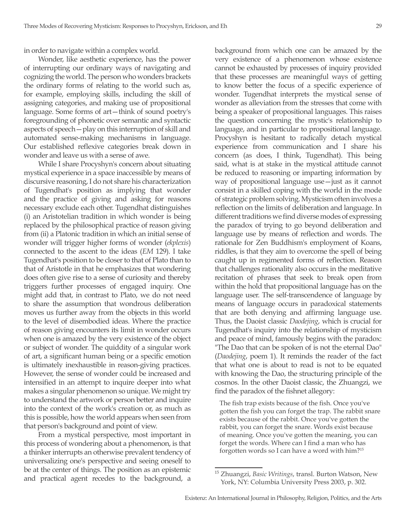in order to navigate within a complex world.

Wonder, like aesthetic experience, has the power of interrupting our ordinary ways of navigating and cognizing the world. The person who wonders brackets the ordinary forms of relating to the world such as, for example, employing skills, including the skill of assigning categories, and making use of propositional language. Some forms of art—think of sound poetry's foregrounding of phonetic over semantic and syntactic aspects of speech—play on this interruption of skill and automated sense-making mechanisms in language. Our established reflexive categories break down in wonder and leave us with a sense of awe.

While I share Procyshyn's concern about situating mystical experience in a space inaccessible by means of discursive reasoning, I do not share his characterization of Tugendhat's position as implying that wonder and the practice of giving and asking for reasons necessary exclude each other. Tugendhat distinguishes (i) an Aristotelian tradition in which wonder is being replaced by the philosophical practice of reason giving from (ii) a Platonic tradition in which an initial sense of wonder will trigger higher forms of wonder (*ekplexis*) connected to the ascent to the ideas (*EM* 129). I take Tugendhat's position to be closer to that of Plato than to that of Aristotle in that he emphasizes that wondering does often give rise to a sense of curiosity and thereby triggers further processes of engaged inquiry. One might add that, in contrast to Plato, we do not need to share the assumption that wondrous deliberation moves us further away from the objects in this world to the level of disembodied ideas. Where the practice of reason giving encounters its limit in wonder occurs when one is amazed by the very existence of the object or subject of wonder. The quiddity of a singular work of art, a significant human being or a specific emotion is ultimately inexhaustible in reason-giving practices. However, the sense of wonder could be increased and intensified in an attempt to inquire deeper into what makes a singular phenomenon so unique. We might try to understand the artwork or person better and inquire into the context of the work's creation or, as much as this is possible, how the world appears when seen from that person's background and point of view.

From a mystical perspective, most important in this process of wondering about a phenomenon, is that a thinker interrupts an otherwise prevalent tendency of universalizing one's perspective and seeing oneself to be at the center of things. The position as an epistemic and practical agent recedes to the background, a

background from which one can be amazed by the very existence of a phenomenon whose existence cannot be exhausted by processes of inquiry provided that these processes are meaningful ways of getting to know better the focus of a specific experience of wonder. Tugendhat interprets the mystical sense of wonder as alleviation from the stresses that come with being a speaker of propositional languages. This raises the question concerning the mystic's relationship to language, and in particular to propositional language. Procyshyn is hesitant to radically detach mystical experience from communication and I share his concern (as does, I think, Tugendhat). This being said, what is at stake in the mystical attitude cannot be reduced to reasoning or imparting information by way of propositional language use—just as it cannot consist in a skilled coping with the world in the mode of strategic problem solving. Mysticism often involves a reflection on the limits of deliberation and language. In different traditions we find diverse modes of expressing the paradox of trying to go beyond deliberation and language use by means of reflection and words. The rationale for Zen Buddhism's employment of Koans, riddles, is that they aim to overcome the spell of being caught up in regimented forms of reflection. Reason that challenges rationality also occurs in the meditative recitation of phrases that seek to break open from within the hold that propositional language has on the language user. The self-transcendence of language by means of language occurs in paradoxical statements that are both denying and affirming language use. Thus, the Daoist classic *Daodejing*, which is crucial for Tugendhat's inquiry into the relationship of mysticism and peace of mind, famously begins with the paradox: "The Dao that can be spoken of is not the eternal Dao" (*Daodejing*, poem 1). It reminds the reader of the fact that what one is about to read is not to be equated with knowing the Dao, the structuring principle of the cosmos. In the other Daoist classic, the Zhuangzi, we find the paradox of the fishnet allegory:

The fish trap exists because of the fish. Once you've gotten the fish you can forget the trap. The rabbit snare exists because of the rabbit. Once you've gotten the rabbit, you can forget the snare. Words exist because of meaning. Once you've gotten the meaning, you can forget the words. Where can I find a man who has forgotten words so I can have a word with him?<sup>15</sup>

<sup>15</sup> Zhuangzi, *Basic Writings*, transl. Burton Watson, New York, NY: Columbia University Press 2003, p. 302.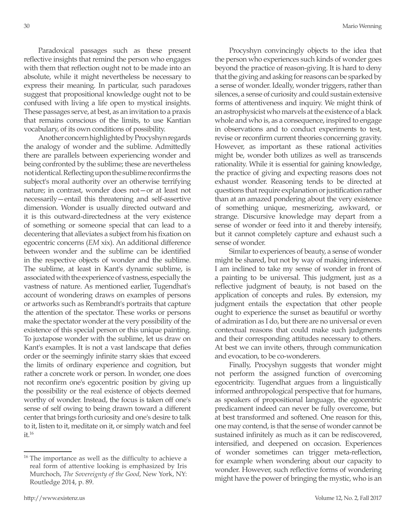Paradoxical passages such as these present reflective insights that remind the person who engages with them that reflection ought not to be made into an absolute, while it might nevertheless be necessary to express their meaning. In particular, such paradoxes suggest that propositional knowledge ought not to be confused with living a life open to mystical insights. These passages serve, at best, as an invitation to a praxis that remains conscious of the limits, to use Kantian vocabulary, of its own conditions of possibility.

Another concern highlighted by Procyshyn regards the analogy of wonder and the sublime. Admittedly there are parallels between experiencing wonder and being confronted by the sublime; these are nevertheless not identical. Reflecting upon the sublime reconfirms the subject's moral authority over an otherwise terrifying nature; in contrast, wonder does not—or at least not necessarily—entail this threatening and self-assertive dimension. Wonder is usually directed outward and it is this outward-directedness at the very existence of something or someone special that can lead to a decentering that alleviates a subject from his fixation on egocentric concerns (*EM* xix). An additional difference between wonder and the sublime can be identified in the respective objects of wonder and the sublime. The sublime, at least in Kant's dynamic sublime, is associated with the experience of vastness, especially the vastness of nature. As mentioned earlier, Tugendhat's account of wondering draws on examples of persons or artworks such as Rembrandt's portraits that capture the attention of the spectator. These works or persons make the spectator wonder at the very possibility of the existence of this special person or this unique painting. To juxtapose wonder with the sublime, let us draw on Kant's examples. It is not a vast landscape that defies order or the seemingly infinite starry skies that exceed the limits of ordinary experience and cognition, but rather a concrete work or person. In wonder, one does not reconfirm one's egocentric position by giving up the possibility or the real existence of objects deemed worthy of wonder. Instead, the focus is taken off one's sense of self owing to being drawn toward a different center that brings forth curiosity and one's desire to talk to it, listen to it, meditate on it, or simply watch and feel  $it.16$ 

Procyshyn convincingly objects to the idea that the person who experiences such kinds of wonder goes beyond the practice of reason-giving. It is hard to deny that the giving and asking for reasons can be sparked by a sense of wonder. Ideally, wonder triggers, rather than silences, a sense of curiosity and could sustain extensive forms of attentiveness and inquiry. We might think of an astrophysicist who marvels at the existence of a black whole and who is, as a consequence, inspired to engage in observations and to conduct experiments to test, revise or reconfirm current theories concerning gravity. However, as important as these rational activities might be, wonder both utilizes as well as transcends rationality. While it is essential for gaining knowledge, the practice of giving and expecting reasons does not exhaust wonder. Reasoning tends to be directed at questions that require explanation or justification rather than at an amazed pondering about the very existence of something unique, mesmerizing, awkward, or strange. Discursive knowledge may depart from a sense of wonder or feed into it and thereby intensify, but it cannot completely capture and exhaust such a sense of wonder.

Similar to experiences of beauty, a sense of wonder might be shared, but not by way of making inferences. I am inclined to take my sense of wonder in front of a painting to be universal. This judgment, just as a reflective judgment of beauty, is not based on the application of concepts and rules. By extension, my judgment entails the expectation that other people ought to experience the sunset as beautiful or worthy of admiration as I do, but there are no universal or even contextual reasons that could make such judgments and their corresponding attitudes necessary to others. At best we can invite others, through communication and evocation, to be co-wonderers.

Finally, Procyshyn suggests that wonder might not perform the assigned function of overcoming egocentricity. Tugendhat argues from a linguistically informed anthropological perspective that for humans, as speakers of propositional language, the egocentric predicament indeed can never be fully overcome, but at best transformed and softened. One reason for this, one may contend, is that the sense of wonder cannot be sustained infinitely as much as it can be rediscovered, intensified, and deepened on occasion. Experiences of wonder sometimes can trigger meta-reflection, for example when wondering about our capacity to wonder. However, such reflective forms of wondering might have the power of bringing the mystic, who is an

<sup>&</sup>lt;sup>16</sup> The importance as well as the difficulty to achieve a real form of attentive looking is emphasized by Iris Murchoch, *The Sovereignty of the Good*, New York, NY: Routledge 2014, p. 89.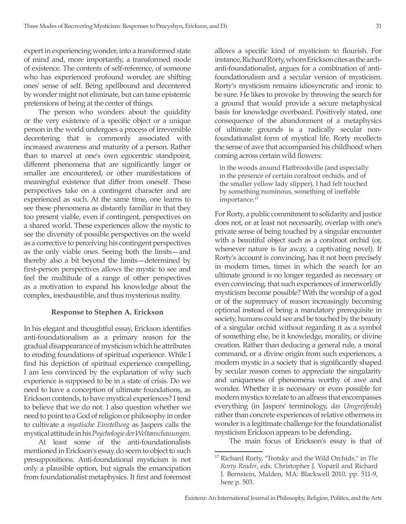expert in experiencing wonder, into a transformed state of mind and, more importantly, a transformed mode of existence. The contents of self-reference, of someone who has experienced profound wonder, are shifting ones' sense of self. Being spellbound and decentered by wonder might not eliminate, but can tame epistemic pretensions of being at the center of things.

The person who wonders about the quiddity or the very existence of a specific object or a unique person in the world undergoes a process of irreversible decentering that is commonly associated with increased awareness and maturity of a person. Rather than to marvel at one's own egocentric standpoint, different phenomena that are significantly larger or smaller are encountered, or other manifestations of meaningful existence that differ from oneself. These perspectives take on a contingent character and are experienced as such. At the same time, one learns to see these phenomena as distantly familiar in that they too present viable, even if contingent, perspectives on a shared world. These experiences allow the mystic to see the diversity of possible perspectives on the world as a corrective to perceiving his contingent perspectives as the only viable ones. Seeing both the limits—and thereby also a bit beyond the limits—determined by first-person perspectives allows the mystic to see and feel the multitude of a range of other perspectives as a motivation to expand his knowledge about the complex, inexhaustible, and thus mysterious reality.

## **Response to Stephen A. Erickson**

In his elegant and thoughtful essay, Erickson identifies anti-foundationalism as a primary reason for the gradual disappearance of mysticism which he attributes to eroding foundations of spiritual experience. While I find his depiction of spiritual experience compelling, I am less convinced by the explanation of why such experience is supposed to be in a state of crisis. Do we need to have a conception of ultimate foundations, as Erickson contends, to have mystical experiences? I tend to believe that we do not. I also question whether we need to point to a God of religion or philosophy in order to cultivate a *mystische Einstellung* as Jaspers calls the mystical attitude in his *Psychologie der Weltanschauungen*.

At least some of the anti-foundationalists mentioned in Erickson's essay do seem to object to such presuppositions. Anti-foundational mysticism is not only a plausible option, but signals the emancipation from foundationalist metaphysics. It first and foremost allows a specific kind of mysticism to flourish. For instance, Richard Rorty, whom Erickson cites as the archanti-foundationalist, argues for a combination of antifoundationalism and a secular version of mysticism. Rorty's mysticism remains idiosyncratic and ironic to be sure. He likes to provoke by throwing the search for a ground that would provide a secure metaphysical basis for knowledge overboard. Positively stated, one consequence of the abandonment of a metaphysics of ultimate grounds is a radically secular nonfoundationalist form of mystical life. Rorty recollects the sense of awe that accompanied his childhood when coming across certain wild flowers:

in the woods around Flatbrookville (and especially in the presence of certain coralroot orchids, and of the smaller yellow lady slipper), I had felt touched by something numinous, something of ineffable importance.<sup>17</sup>

For Rorty, a public commitment to solidarity and justice does not, or at least not necessarily, overlap with one's private sense of being touched by a singular encounter with a beautiful object such as a coralroot orchid (or, whenever nature is far away, a captivating novel). If Rorty's account is convincing, has it not been precisely in modern times, times in which the search for an ultimate ground is no longer regarded as necessary or even convincing, that such experiences of innerworldly mysticism become possible? With the worship of a god or of the supremacy of reason increasingly becoming optional instead of being a mandatory prerequisite in society, humans could see and be touched by the beauty of a singular orchid without regarding it as a symbol of something else, be it knowledge, morality, or divine creation. Rather than deducing a general rule, a moral command, or a divine origin from such experiences, a modern mystic in a society that is significantly shaped by secular reason comes to appreciate the singularity and uniqueness of phenomena worthy of awe and wonder. Whether it is necessary or even possible for modern mystics to relate to an allness that encompasses everything (in Jaspers' terminology, *das Umgreifende*) rather than concrete experiences of relative otherness in wonder is a legitimate challenge for the foundationalist mysticism Erickson appears to be defending.

The main focus of Erickson's essay is that of

<sup>17</sup> Richard Rorty, "Trotsky and the Wild Orchids," in *The Rorty Reader*, eds. Christopher J. Voparil and Richard J. Bernstein, Malden, MA: Blackwell 2010, pp. 511-9, here p. 503.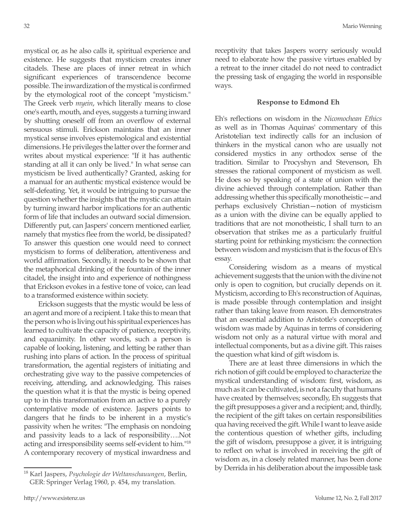mystical or, as he also calls it, spiritual experience and existence. He suggests that mysticism creates inner citadels. These are places of inner retreat in which significant experiences of transcendence become possible. The inwardization of the mystical is confirmed by the etymological root of the concept "mysticism." The Greek verb *myein*, which literally means to close one's earth, mouth, and eyes, suggests a turning inward by shutting oneself off from an overflow of external sensuous stimuli. Erickson maintains that an inner mystical sense involves epistemological and existential dimensions. He privileges the latter over the former and writes about mystical experience: "If it has authentic standing at all it can only be lived." In what sense can mysticism be lived authentically? Granted, asking for a manual for an authentic mystical existence would be self-defeating. Yet, it would be intriguing to pursue the question whether the insights that the mystic can attain by turning inward harbor implications for an authentic form of life that includes an outward social dimension. Differently put, can Jaspers' concern mentioned earlier, namely that mystics flee from the world, be dissipated? To answer this question one would need to connect mysticism to forms of deliberation, attentiveness and world affirmation. Secondly, it needs to be shown that the metaphorical drinking of the fountain of the inner citadel, the insight into and experience of nothingness that Erickson evokes in a festive tone of voice, can lead to a transformed existence within society.

Erickson suggests that the mystic would be less of an agent and more of a recipient. I take this to mean that the person who is living out his spiritual experiences has learned to cultivate the capacity of patience, receptivity, and equanimity. In other words, such a person is capable of looking, listening, and letting be rather than rushing into plans of action. In the process of spiritual transformation, the agential registers of initiating and orchestrating give way to the passive competencies of receiving, attending, and acknowledging. This raises the question what it is that the mystic is being opened up to in this transformation from an active to a purely contemplative mode of existence. Jaspers points to dangers that he finds to be inherent in a mystic's passivity when he writes: "The emphasis on nondoing and passivity leads to a lack of responsibility….Not acting and irresponsibility seems self-evident to him."18 A contemporary recovery of mystical inwardness and receptivity that takes Jaspers worry seriously would need to elaborate how the passive virtues enabled by a retreat to the inner citadel do not need to contradict the pressing task of engaging the world in responsible ways.

## **Response to Edmond Eh**

Eh's reflections on wisdom in the *Nicomochean Ethics* as well as in Thomas Aquinas' commentary of this Aristotelian text indirectly calls for an inclusion of thinkers in the mystical canon who are usually not considered mystics in any orthodox sense of the tradition. Similar to Procyshyn and Stevenson, Eh stresses the rational component of mysticism as well. He does so by speaking of a state of union with the divine achieved through contemplation. Rather than addressing whether this specifically monotheistic—and perhaps exclusively Christian—notion of mysticism as a union with the divine can be equally applied to traditions that are not monotheistic, I shall turn to an observation that strikes me as a particularly fruitful starting point for rethinking mysticism: the connection between wisdom and mysticism that is the focus of Eh's essay.

Considering wisdom as a means of mystical achievement suggests that the union with the divine not only is open to cognition, but crucially depends on it. Mysticism, according to Eh's reconstruction of Aquinas, is made possible through contemplation and insight rather than taking leave from reason. Eh demonstrates that an essential addition to Aristotle's conception of wisdom was made by Aquinas in terms of considering wisdom not only as a natural virtue with moral and intellectual components, but as a divine gift. This raises the question what kind of gift wisdom is.

There are at least three dimensions in which the rich notion of gift could be employed to characterize the mystical understanding of wisdom: first, wisdom, as much as it can be cultivated, is not a faculty that humans have created by themselves; secondly, Eh suggests that the gift presupposes a giver and a recipient; and, thirdly, the recipient of the gift takes on certain responsibilities qua having received the gift. While I want to leave aside the contentious question of whether gifts, including the gift of wisdom, presuppose a giver, it is intriguing to reflect on what is involved in receiving the gift of wisdom as, in a closely related manner, has been done by Derrida in his deliberation about the impossible task

<sup>18</sup> Karl Jaspers, *Psychologie der Weltanschauungen*, Berlin, GER: Springer Verlag 1960, p. 454, my translation.